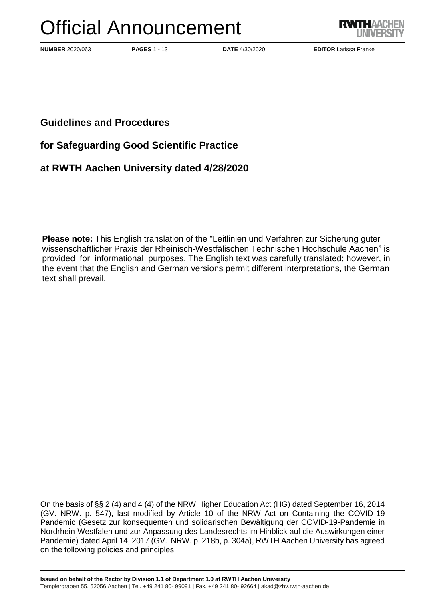# Official Announcement



**NUMBER** 2020/063 **PAGES** 1 - 13 **DATE** 4/30/2020 **EDITOR** Larissa Franke

**Guidelines and Procedures**

**for Safeguarding Good Scientific Practice**

**at RWTH Aachen University dated 4/28/2020**

**Please note:** This English translation of the "Leitlinien und Verfahren zur Sicherung guter wissenschaftlicher Praxis der Rheinisch-Westfälischen Technischen Hochschule Aachen" is provided for informational purposes. The English text was carefully translated; however, in the event that the English and German versions permit different interpretations, the German text shall prevail.

On the basis of §§ 2 (4) and 4 (4) of the NRW Higher Education Act (HG) dated September 16, 2014 (GV. NRW. p. 547), last modified by Article 10 of the NRW Act on Containing the COVID-19 Pandemic (Gesetz zur konsequenten und solidarischen Bewältigung der COVID-19-Pandemie in Nordrhein-Westfalen und zur Anpassung des Landesrechts im Hinblick auf die Auswirkungen einer Pandemie) dated April 14, 2017 (GV. NRW. p. 218b, p. 304a), RWTH Aachen University has agreed on the following policies and principles: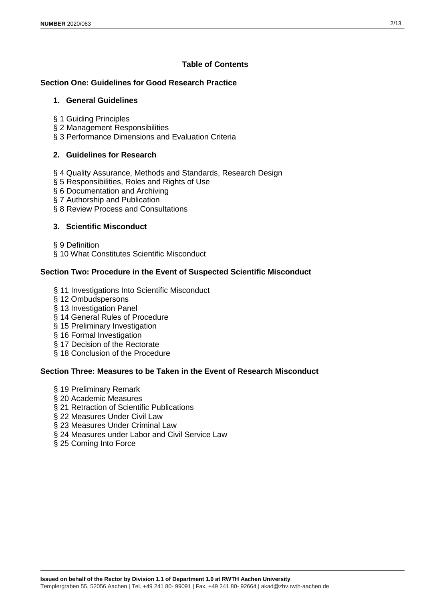# **Table of Contents**

# **Section One: Guidelines for Good Research Practice**

### **1. General Guidelines**

- § 1 Guiding Principles
- § 2 Management Responsibilities
- § 3 Performance Dimensions and Evaluation Criteria

# **2. Guidelines for Research**

- § 4 Quality Assurance, Methods and Standards, Research Design
- § 5 Responsibilities, Roles and Rights of Use
- § 6 Documentation and Archiving
- § 7 Authorship and Publication
- § 8 Review Process and Consultations

#### **3. Scientific Misconduct**

- § 9 Definition
- § 10 What Constitutes Scientific Misconduct

# **Section Two: Procedure in the Event of Suspected Scientific Misconduct**

- § 11 Investigations Into Scientific Misconduct
- § 12 Ombudspersons
- § 13 Investigation Panel
- § 14 General Rules of Procedure
- § 15 Preliminary Investigation
- § 16 Formal Investigation
- § 17 Decision of the Rectorate
- § 18 Conclusion of the Procedure

# **Section Three: Measures to be Taken in the Event of Research Misconduct**

- § 19 Preliminary Remark
- § 20 Academic Measures
- § 21 Retraction of Scientific Publications
- § 22 Measures Under Civil Law
- § 23 Measures Under Criminal Law
- § 24 Measures under Labor and Civil Service Law
- § 25 Coming Into Force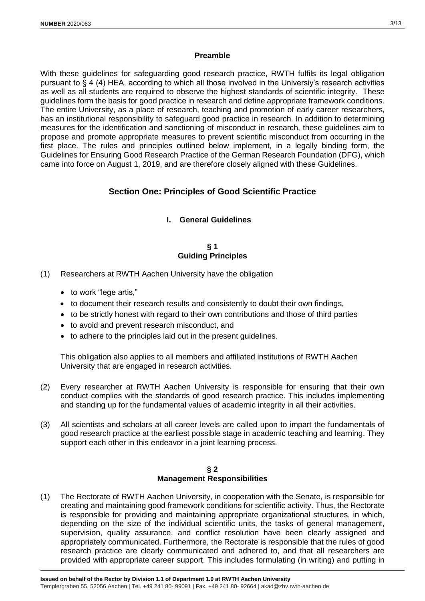#### **Preamble**

With these guidelines for safeguarding good research practice, RWTH fulfils its legal obligation pursuant to § 4 (4) HEA, according to which all those involved in the Universiy's research activities as well as all students are required to observe the highest standards of scientific integrity. These guidelines form the basis for good practice in research and define appropriate framework conditions. The entire University, as a place of research, teaching and promotion of early career researchers, has an institutional responsibility to safeguard good practice in research. In addition to determining measures for the identification and sanctioning of misconduct in research, these guidelines aim to propose and promote appropriate measures to prevent scientific misconduct from occurring in the first place. The rules and principles outlined below implement, in a legally binding form, the Guidelines for Ensuring Good Research Practice of the German Research Foundation (DFG), which came into force on August 1, 2019, and are therefore closely aligned with these Guidelines.

# **Section One: Principles of Good Scientific Practice**

# **I. General Guidelines**

# **§ 1 Guiding Principles**

- (1) Researchers at RWTH Aachen University have the obligation
	- to work "lege artis,"
	- to document their research results and consistently to doubt their own findings,
	- to be strictly honest with regard to their own contributions and those of third parties
	- to avoid and prevent research misconduct, and
	- to adhere to the principles laid out in the present guidelines.

This obligation also applies to all members and affiliated institutions of RWTH Aachen University that are engaged in research activities.

- (2) Every researcher at RWTH Aachen University is responsible for ensuring that their own conduct complies with the standards of good research practice. This includes implementing and standing up for the fundamental values of academic integrity in all their activities.
- (3) All scientists and scholars at all career levels are called upon to impart the fundamentals of good research practice at the earliest possible stage in academic teaching and learning. They support each other in this endeavor in a joint learning process.

#### **§ 2 Management Responsibilities**

(1) The Rectorate of RWTH Aachen University, in cooperation with the Senate, is responsible for creating and maintaining good framework conditions for scientific activity. Thus, the Rectorate is responsible for providing and maintaining appropriate organizational structures, in which, depending on the size of the individual scientific units, the tasks of general management, supervision, quality assurance, and conflict resolution have been clearly assigned and appropriately communicated. Furthermore, the Rectorate is responsible that the rules of good research practice are clearly communicated and adhered to, and that all researchers are provided with appropriate career support. This includes formulating (in writing) and putting in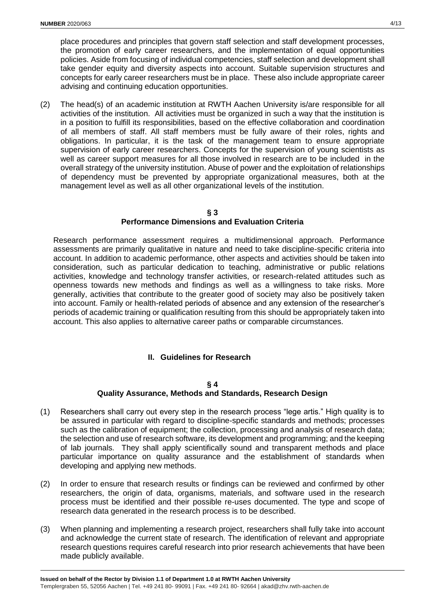place procedures and principles that govern staff selection and staff development processes, the promotion of early career researchers, and the implementation of equal opportunities policies. Aside from focusing of individual competencies, staff selection and development shall take gender equity and diversity aspects into account. Suitable supervision structures and concepts for early career researchers must be in place. These also include appropriate career advising and continuing education opportunities.

(2) The head(s) of an academic institution at RWTH Aachen University is/are responsible for all activities of the institution. All activities must be organized in such a way that the institution is in a position to fulfill its responsibilities, based on the effective collaboration and coordination of all members of staff. All staff members must be fully aware of their roles, rights and obligations. In particular, it is the task of the management team to ensure appropriate supervision of early career researchers. Concepts for the supervision of young scientists as well as career support measures for all those involved in research are to be included in the overall strategy of the university institution. Abuse of power and the exploitation of relationships of dependency must be prevented by appropriate organizational measures, both at the management level as well as all other organizational levels of the institution.

#### **§ 3 Performance Dimensions and Evaluation Criteria**

Research performance assessment requires a multidimensional approach. Performance assessments are primarily qualitative in nature and need to take discipline-specific criteria into account. In addition to academic performance, other aspects and activities should be taken into consideration, such as particular dedication to teaching, administrative or public relations activities, knowledge and technology transfer activities, or research-related attitudes such as openness towards new methods and findings as well as a willingness to take risks. More generally, activities that contribute to the greater good of society may also be positively taken into account. Family or health-related periods of absence and any extension of the researcher's periods of academic training or qualification resulting from this should be appropriately taken into account. This also applies to alternative career paths or comparable circumstances.

# **II. Guidelines for Research**

#### **§ 4**

# **Quality Assurance, Methods and Standards, Research Design**

- (1) Researchers shall carry out every step in the research process "lege artis." High quality is to be assured in particular with regard to discipline-specific standards and methods; processes such as the calibration of equipment; the collection, processing and analysis of research data; the selection and use of research software, its development and programming; and the keeping of lab journals. They shall apply scientifically sound and transparent methods and place particular importance on quality assurance and the establishment of standards when developing and applying new methods.
- (2) In order to ensure that research results or findings can be reviewed and confirmed by other researchers, the origin of data, organisms, materials, and software used in the research process must be identified and their possible re-uses documented. The type and scope of research data generated in the research process is to be described.
- (3) When planning and implementing a research project, researchers shall fully take into account and acknowledge the current state of research. The identification of relevant and appropriate research questions requires careful research into prior research achievements that have been made publicly available.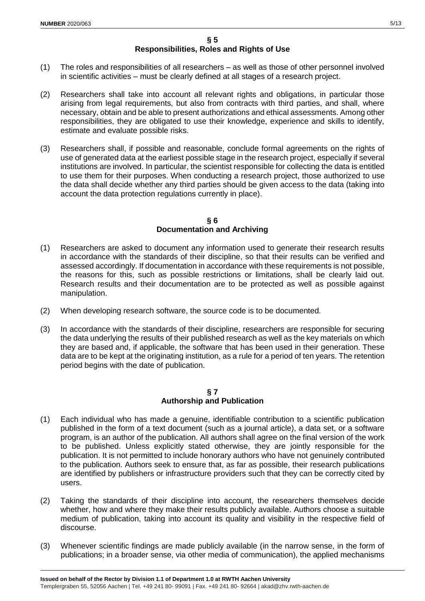- (1) The roles and responsibilities of all researchers as well as those of other personnel involved in scientific activities – must be clearly defined at all stages of a research project.
- (2) Researchers shall take into account all relevant rights and obligations, in particular those arising from legal requirements, but also from contracts with third parties, and shall, where necessary, obtain and be able to present authorizations and ethical assessments. Among other responsibilities, they are obligated to use their knowledge, experience and skills to identify, estimate and evaluate possible risks.
- (3) Researchers shall, if possible and reasonable, conclude formal agreements on the rights of use of generated data at the earliest possible stage in the research project, especially if several institutions are involved. In particular, the scientist responsible for collecting the data is entitled to use them for their purposes. When conducting a research project, those authorized to use the data shall decide whether any third parties should be given access to the data (taking into account the data protection regulations currently in place).

#### **§ 6 Documentation and Archiving**

- (1) Researchers are asked to document any information used to generate their research results in accordance with the standards of their discipline, so that their results can be verified and assessed accordingly. If documentation in accordance with these requirements is not possible, the reasons for this, such as possible restrictions or limitations, shall be clearly laid out. Research results and their documentation are to be protected as well as possible against manipulation.
- (2) When developing research software, the source code is to be documented.
- (3) In accordance with the standards of their discipline, researchers are responsible for securing the data underlying the results of their published research as well as the key materials on which they are based and, if applicable, the software that has been used in their generation. These data are to be kept at the originating institution, as a rule for a period of ten years. The retention period begins with the date of publication.

#### **§ 7 Authorship and Publication**

- (1) Each individual who has made a genuine, identifiable contribution to a scientific publication published in the form of a text document (such as a journal article), a data set, or a software program, is an author of the publication. All authors shall agree on the final version of the work to be published. Unless explicitly stated otherwise, they are jointly responsible for the publication. It is not permitted to include honorary authors who have not genuinely contributed to the publication. Authors seek to ensure that, as far as possible, their research publications are identified by publishers or infrastructure providers such that they can be correctly cited by users.
- (2) Taking the standards of their discipline into account, the researchers themselves decide whether, how and where they make their results publicly available. Authors choose a suitable medium of publication, taking into account its quality and visibility in the respective field of discourse.
- (3) Whenever scientific findings are made publicly available (in the narrow sense, in the form of publications; in a broader sense, via other media of communication), the applied mechanisms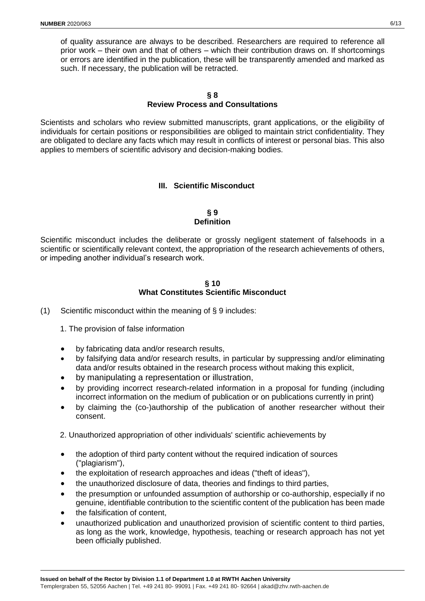of quality assurance are always to be described. Researchers are required to reference all prior work – their own and that of others – which their contribution draws on. If shortcomings or errors are identified in the publication, these will be transparently amended and marked as such. If necessary, the publication will be retracted.

#### **§ 8 Review Process and Consultations**

Scientists and scholars who review submitted manuscripts, grant applications, or the eligibility of individuals for certain positions or responsibilities are obliged to maintain strict confidentiality. They are obligated to declare any facts which may result in conflicts of interest or personal bias. This also applies to members of scientific advisory and decision-making bodies.

# **III. Scientific Misconduct**

#### **§ 9 Definition**

Scientific misconduct includes the deliberate or grossly negligent statement of falsehoods in a scientific or scientifically relevant context, the appropriation of the research achievements of others, or impeding another individual's research work.

#### **§ 10 What Constitutes Scientific Misconduct**

- (1) Scientific misconduct within the meaning of § 9 includes:
	- 1. The provision of false information
	- by fabricating data and/or research results,
	- by falsifying data and/or research results, in particular by suppressing and/or eliminating data and/or results obtained in the research process without making this explicit,
	- by manipulating a representation or illustration,
	- by providing incorrect research-related information in a proposal for funding (including incorrect information on the medium of publication or on publications currently in print)
	- by claiming the (co-)authorship of the publication of another researcher without their consent.
	- 2. Unauthorized appropriation of other individuals' scientific achievements by
	- the adoption of third party content without the required indication of sources ("plagiarism"),
	- the exploitation of research approaches and ideas ("theft of ideas"),
	- the unauthorized disclosure of data, theories and findings to third parties,
	- the presumption or unfounded assumption of authorship or co-authorship, especially if no genuine, identifiable contribution to the scientific content of the publication has been made
	- the falsification of content,
	- unauthorized publication and unauthorized provision of scientific content to third parties, as long as the work, knowledge, hypothesis, teaching or research approach has not yet been officially published.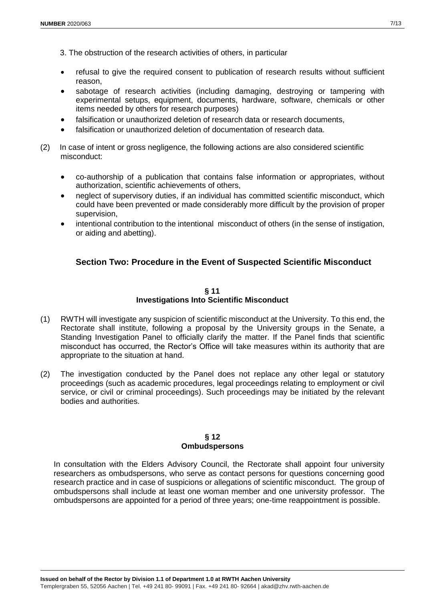- 3. The obstruction of the research activities of others, in particular
- refusal to give the required consent to publication of research results without sufficient reason,
- sabotage of research activities (including damaging, destroying or tampering with experimental setups, equipment, documents, hardware, software, chemicals or other items needed by others for research purposes)
- falsification or unauthorized deletion of research data or research documents,
- falsification or unauthorized deletion of documentation of research data.
- (2) In case of intent or gross negligence, the following actions are also considered scientific misconduct:
	- co-authorship of a publication that contains false information or appropriates, without authorization, scientific achievements of others,
	- neglect of supervisory duties, if an individual has committed scientific misconduct, which could have been prevented or made considerably more difficult by the provision of proper supervision,
	- intentional contribution to the intentional misconduct of others (in the sense of instigation, or aiding and abetting).

# **Section Two: Procedure in the Event of Suspected Scientific Misconduct**

#### **§ 11 Investigations Into Scientific Misconduct**

- (1) RWTH will investigate any suspicion of scientific misconduct at the University. To this end, the Rectorate shall institute, following a proposal by the University groups in the Senate, a Standing Investigation Panel to officially clarify the matter. If the Panel finds that scientific misconduct has occurred, the Rector's Office will take measures within its authority that are appropriate to the situation at hand.
- (2) The investigation conducted by the Panel does not replace any other legal or statutory proceedings (such as academic procedures, legal proceedings relating to employment or civil service, or civil or criminal proceedings). Such proceedings may be initiated by the relevant bodies and authorities.

#### **§ 12 Ombudspersons**

In consultation with the Elders Advisory Council, the Rectorate shall appoint four university researchers as ombudspersons, who serve as contact persons for questions concerning good research practice and in case of suspicions or allegations of scientific misconduct. The group of ombudspersons shall include at least one woman member and one university professor. The ombudspersons are appointed for a period of three years; one-time reappointment is possible.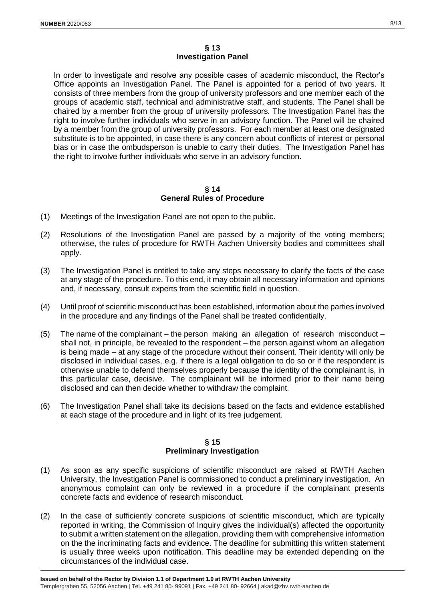#### **§ 13 Investigation Panel**

In order to investigate and resolve any possible cases of academic misconduct, the Rector's Office appoints an Investigation Panel. The Panel is appointed for a period of two years. It consists of three members from the group of university professors and one member each of the groups of academic staff, technical and administrative staff, and students. The Panel shall be chaired by a member from the group of university professors. The Investigation Panel has the right to involve further individuals who serve in an advisory function. The Panel will be chaired by a member from the group of university professors. For each member at least one designated substitute is to be appointed, in case there is any concern about conflicts of interest or personal bias or in case the ombudsperson is unable to carry their duties. The Investigation Panel has the right to involve further individuals who serve in an advisory function.

#### **§ 14 General Rules of Procedure**

- (1) Meetings of the Investigation Panel are not open to the public.
- (2) Resolutions of the Investigation Panel are passed by a majority of the voting members; otherwise, the rules of procedure for RWTH Aachen University bodies and committees shall apply.
- (3) The Investigation Panel is entitled to take any steps necessary to clarify the facts of the case at any stage of the procedure. To this end, it may obtain all necessary information and opinions and, if necessary, consult experts from the scientific field in question.
- (4) Until proof of scientific misconduct has been established, information about the parties involved in the procedure and any findings of the Panel shall be treated confidentially.
- (5) The name of the complainant the person making an allegation of research misconduct shall not, in principle, be revealed to the respondent – the person against whom an allegation is being made – at any stage of the procedure without their consent. Their identity will only be disclosed in individual cases, e.g. if there is a legal obligation to do so or if the respondent is otherwise unable to defend themselves properly because the identity of the complainant is, in this particular case, decisive. The complainant will be informed prior to their name being disclosed and can then decide whether to withdraw the complaint.
- (6) The Investigation Panel shall take its decisions based on the facts and evidence established at each stage of the procedure and in light of its free judgement.

#### **§ 15 Preliminary Investigation**

- (1) As soon as any specific suspicions of scientific misconduct are raised at RWTH Aachen University, the Investigation Panel is commissioned to conduct a preliminary investigation. An anonymous complaint can only be reviewed in a procedure if the complainant presents concrete facts and evidence of research misconduct.
- (2) In the case of sufficiently concrete suspicions of scientific misconduct, which are typically reported in writing, the Commission of Inquiry gives the individual(s) affected the opportunity to submit a written statement on the allegation, providing them with comprehensive information on the the incriminating facts and evidence. The deadline for submitting this written statement is usually three weeks upon notification. This deadline may be extended depending on the circumstances of the individual case.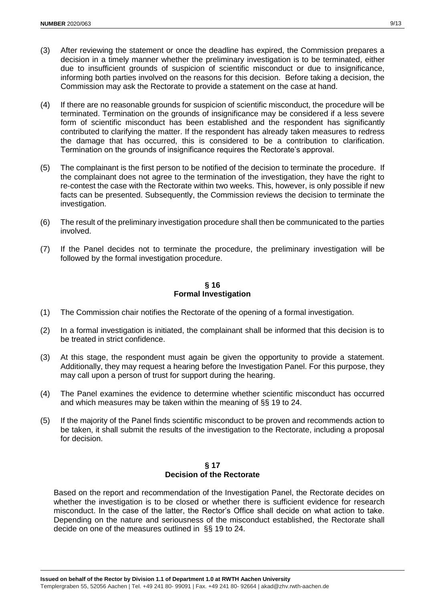- (3) After reviewing the statement or once the deadline has expired, the Commission prepares a decision in a timely manner whether the preliminary investigation is to be terminated, either due to insufficient grounds of suspicion of scientific misconduct or due to insignificance, informing both parties involved on the reasons for this decision. Before taking a decision, the Commission may ask the Rectorate to provide a statement on the case at hand.
- (4) If there are no reasonable grounds for suspicion of scientific misconduct, the procedure will be terminated. Termination on the grounds of insignificance may be considered if a less severe form of scientific misconduct has been established and the respondent has significantly contributed to clarifying the matter. If the respondent has already taken measures to redress the damage that has occurred, this is considered to be a contribution to clarification. Termination on the grounds of insignificance requires the Rectorate's approval.
- (5) The complainant is the first person to be notified of the decision to terminate the procedure. If the complainant does not agree to the termination of the investigation, they have the right to re-contest the case with the Rectorate within two weeks. This, however, is only possible if new facts can be presented. Subsequently, the Commission reviews the decision to terminate the investigation.
- (6) The result of the preliminary investigation procedure shall then be communicated to the parties involved.
- (7) If the Panel decides not to terminate the procedure, the preliminary investigation will be followed by the formal investigation procedure.

**§ 16 Formal Investigation**

- (1) The Commission chair notifies the Rectorate of the opening of a formal investigation.
- (2) In a formal investigation is initiated, the complainant shall be informed that this decision is to be treated in strict confidence.
- (3) At this stage, the respondent must again be given the opportunity to provide a statement. Additionally, they may request a hearing before the Investigation Panel. For this purpose, they may call upon a person of trust for support during the hearing.
- (4) The Panel examines the evidence to determine whether scientific misconduct has occurred and which measures may be taken within the meaning of §§ 19 to 24.
- (5) If the majority of the Panel finds scientific misconduct to be proven and recommends action to be taken, it shall submit the results of the investigation to the Rectorate, including a proposal for decision.

#### **§ 17 Decision of the Rectorate**

Based on the report and recommendation of the Investigation Panel, the Rectorate decides on whether the investigation is to be closed or whether there is sufficient evidence for research misconduct. In the case of the latter, the Rector's Office shall decide on what action to take. Depending on the nature and seriousness of the misconduct established, the Rectorate shall decide on one of the measures outlined in §§ 19 to 24.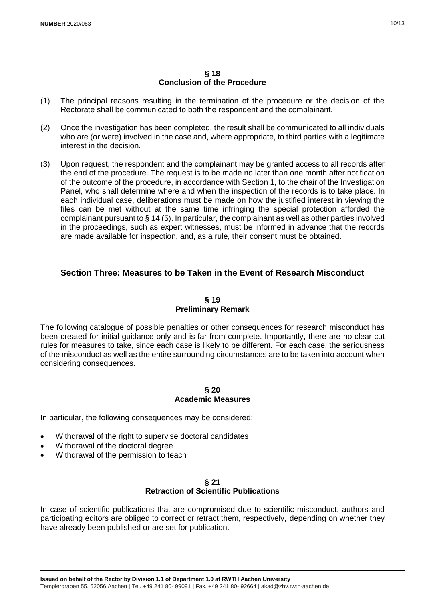#### **§ 18 Conclusion of the Procedure**

- (1) The principal reasons resulting in the termination of the procedure or the decision of the Rectorate shall be communicated to both the respondent and the complainant.
- (2) Once the investigation has been completed, the result shall be communicated to all individuals who are (or were) involved in the case and, where appropriate, to third parties with a legitimate interest in the decision.
- (3) Upon request, the respondent and the complainant may be granted access to all records after the end of the procedure. The request is to be made no later than one month after notification of the outcome of the procedure, in accordance with Section 1, to the chair of the Investigation Panel, who shall determine where and when the inspection of the records is to take place. In each individual case, deliberations must be made on how the justified interest in viewing the files can be met without at the same time infringing the special protection afforded the complainant pursuant to § 14 (5). In particular, the complainant as well as other parties involved in the proceedings, such as expert witnesses, must be informed in advance that the records are made available for inspection, and, as a rule, their consent must be obtained.

# **Section Three: Measures to be Taken in the Event of Research Misconduct**

# **§ 19 Preliminary Remark**

The following catalogue of possible penalties or other consequences for research misconduct has been created for initial guidance only and is far from complete. Importantly, there are no clear-cut rules for measures to take, since each case is likely to be different. For each case, the seriousness of the misconduct as well as the entire surrounding circumstances are to be taken into account when considering consequences.

# **§ 20 Academic Measures**

In particular, the following consequences may be considered:

- Withdrawal of the right to supervise doctoral candidates
- Withdrawal of the doctoral degree
- Withdrawal of the permission to teach

#### **§ 21 Retraction of Scientific Publications**

In case of scientific publications that are compromised due to scientific misconduct, authors and participating editors are obliged to correct or retract them, respectively, depending on whether they have already been published or are set for publication.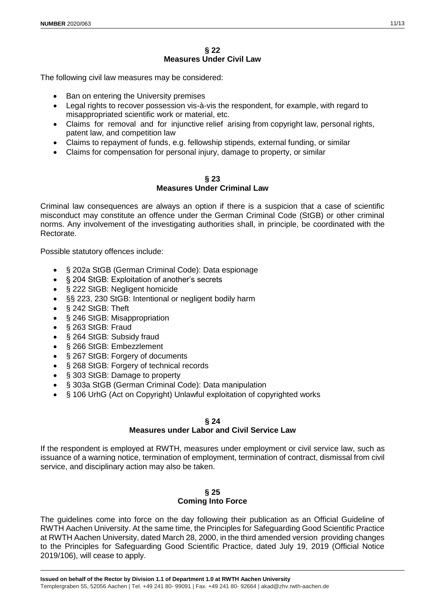The following civil law measures may be considered:

- Ban on entering the University premises
- Legal rights to recover possession vis-à-vis the respondent, for example, with regard to misappropriated scientific work or material, etc.
- Claims for removal and for injunctive relief arising from copyright law, personal rights, patent law, and competition law
- Claims to repayment of funds, e.g. fellowship stipends, external funding, or similar
- Claims for compensation for personal injury, damage to property, or similar

#### **§ 23 Measures Under Criminal Law**

Criminal law consequences are always an option if there is a suspicion that a case of scientific misconduct may constitute an offence under the German Criminal Code (StGB) or other criminal norms. Any involvement of the investigating authorities shall, in principle, be coordinated with the Rectorate.

Possible statutory offences include:

- § 202a StGB (German Criminal Code): Data espionage
- § 204 StGB: Exploitation of another's secrets
- § 222 StGB: Negligent homicide
- §§ 223, 230 StGB: Intentional or negligent bodily harm
- § 242 StGB: Theft
- § 246 StGB: Misappropriation
- § 263 StGB: Fraud
- § 264 StGB: Subsidy fraud
- § 266 StGB: Embezzlement
- § 267 StGB: Forgery of documents
- § 268 StGB: Forgery of technical records
- § 303 StGB: Damage to property
- § 303a StGB (German Criminal Code): Data manipulation
- § 106 UrhG (Act on Copyright) Unlawful exploitation of copyrighted works

#### **§ 24**

#### **Measures under Labor and Civil Service Law**

If the respondent is employed at RWTH, measures under employment or civil service law, such as issuance of a warning notice, termination of employment, termination of contract, dismissal from civil service, and disciplinary action may also be taken.

# **§ 25**

# **Coming Into Force**

The guidelines come into force on the day following their publication as an Official Guideline of RWTH Aachen University. At the same time, the Principles for Safeguarding Good Scientific Practice at RWTH Aachen University, dated March 28, 2000, in the third amended version providing changes to the Principles for Safeguarding Good Scientific Practice, dated July 19, 2019 (Official Notice 2019/106), will cease to apply.